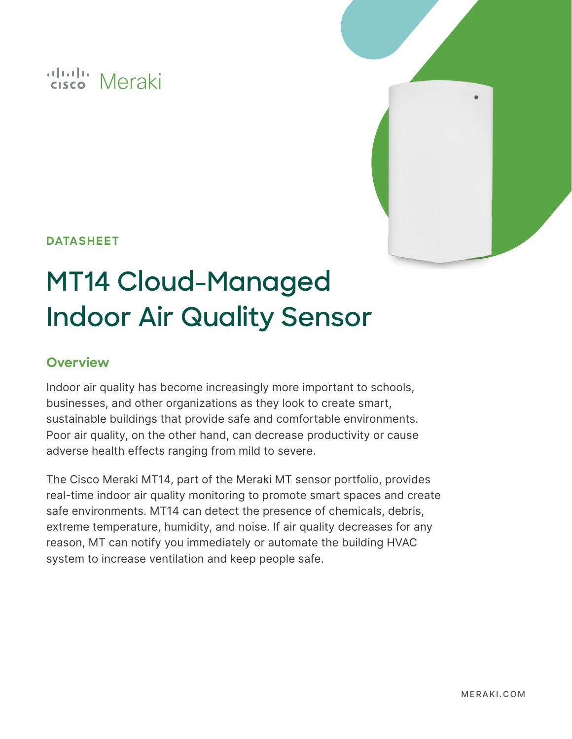# ululu Meraki



# **DATASHEET**

# **MT14 Cloud-Managed Indoor Air Quality Sensor**

## **Overview**

Indoor air quality has become increasingly more important to schools, businesses, and other organizations as they look to create smart, sustainable buildings that provide safe and comfortable environments. Poor air quality, on the other hand, can decrease productivity or cause adverse health effects ranging from mild to severe.

The Cisco Meraki MT14, part of the Meraki MT sensor portfolio, provides real-time indoor air quality monitoring to promote smart spaces and create safe environments. MT14 can detect the presence of chemicals, debris, extreme temperature, humidity, and noise. If air quality decreases for any reason, MT can notify you immediately or automate the building HVAC system to increase ventilation and keep people safe.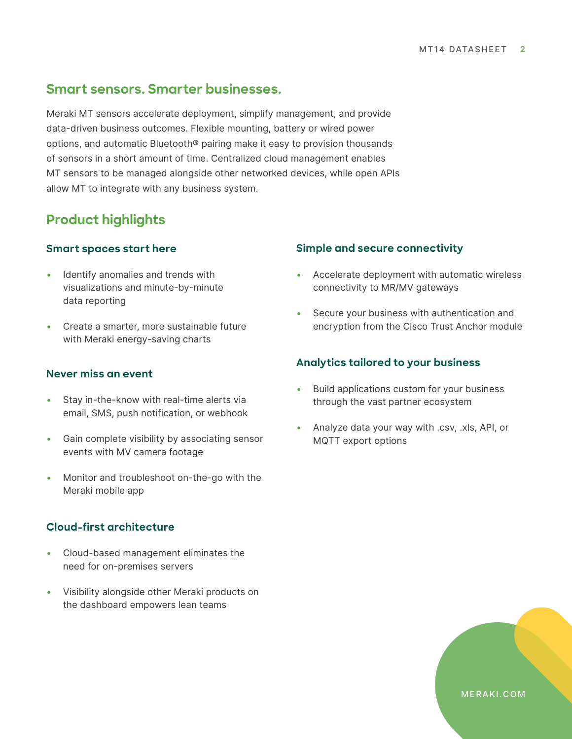# **Smart sensors. Smarter businesses.**

Meraki MT sensors accelerate deployment, simplify management, and provide data-driven business outcomes. Flexible mounting, battery or wired power options, and automatic Bluetooth® pairing make it easy to provision thousands of sensors in a short amount of time. Centralized cloud management enables MT sensors to be managed alongside other networked devices, while open APIs allow MT to integrate with any business system.

# **Product highlights**

#### **Smart spaces start here**

- Identify anomalies and trends with visualizations and minute-by-minute data reporting
- • Create a smarter, more sustainable future with Meraki energy-saving charts

#### **Never miss an event**

- Stay in-the-know with real-time alerts via email, SMS, push notification, or webhook
- Gain complete visibility by associating sensor events with MV camera footage
- • Monitor and troubleshoot on-the-go with the Meraki mobile app

#### **Cloud-first architecture**

- • Cloud-based management eliminates the need for on-premises servers
- • Visibility alongside other Meraki products on the dashboard empowers lean teams

#### **Simple and secure connectivity**

- Accelerate deployment with automatic wireless connectivity to MR/MV gateways
- Secure your business with authentication and encryption from the Cisco Trust Anchor module

#### **Analytics tailored to your business**

- Build applications custom for your business through the vast partner ecosystem
- Analyze data your way with .csv, .xls, API, or MQTT export options

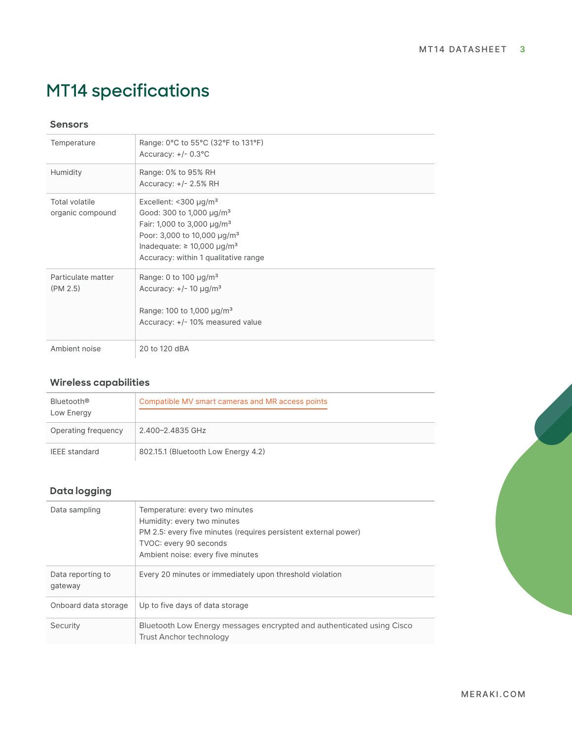# **MT14 specifications**

#### **Sensors**

| Temperature                               | Range: 0°C to 55°C (32°F to 131°F)<br>Accuracy: +/- 0.3°C                                                                                                                                                                                             |
|-------------------------------------------|-------------------------------------------------------------------------------------------------------------------------------------------------------------------------------------------------------------------------------------------------------|
| Humidity                                  | Range: 0% to 95% RH<br>Accuracy: $+/- 2.5%$ RH                                                                                                                                                                                                        |
| <b>Total volatile</b><br>organic compound | Excellent: $<$ 300 µg/m <sup>3</sup><br>Good: 300 to 1,000 $\mu$ g/m <sup>3</sup><br>Fair: 1,000 to 3,000 µg/m <sup>3</sup><br>Poor: 3,000 to 10,000 µg/m <sup>3</sup><br>Inadequate: $\geq 10,000 \mu g/m^3$<br>Accuracy: within 1 qualitative range |
| Particulate matter<br>(PM 2.5)            | Range: 0 to 100 $\mu$ g/m <sup>3</sup><br>Accuracy: $+/- 10 \mu g/m^3$<br>Range: 100 to 1,000 $\mu$ g/m <sup>3</sup><br>Accuracy: +/- 10% measured value                                                                                              |
| Ambient noise                             | 20 to 120 dBA                                                                                                                                                                                                                                         |

### **Wireless capabilities**

| Bluetooth®<br>Low Energy | Compatible MV smart cameras and MR access points |
|--------------------------|--------------------------------------------------|
| Operating frequency      | 2.400-2.4835 GHz                                 |
| <b>IEEE</b> standard     | 802.15.1 (Bluetooth Low Energy 4.2)              |

#### **Data logging**

| Temperature: every two minutes<br>Data sampling<br>Humidity: every two minutes<br>PM 2.5: every five minutes (requires persistent external power)<br>TVOC: every 90 seconds<br>Ambient noise: every five minutes<br>Data reporting to<br>Every 20 minutes or immediately upon threshold violation<br>gateway<br>Up to five days of data storage<br>Onboard data storage<br>Security<br>Bluetooth Low Energy messages encrypted and authenticated using Cisco<br>Trust Anchor technology |  |
|-----------------------------------------------------------------------------------------------------------------------------------------------------------------------------------------------------------------------------------------------------------------------------------------------------------------------------------------------------------------------------------------------------------------------------------------------------------------------------------------|--|
|                                                                                                                                                                                                                                                                                                                                                                                                                                                                                         |  |
|                                                                                                                                                                                                                                                                                                                                                                                                                                                                                         |  |
|                                                                                                                                                                                                                                                                                                                                                                                                                                                                                         |  |
|                                                                                                                                                                                                                                                                                                                                                                                                                                                                                         |  |